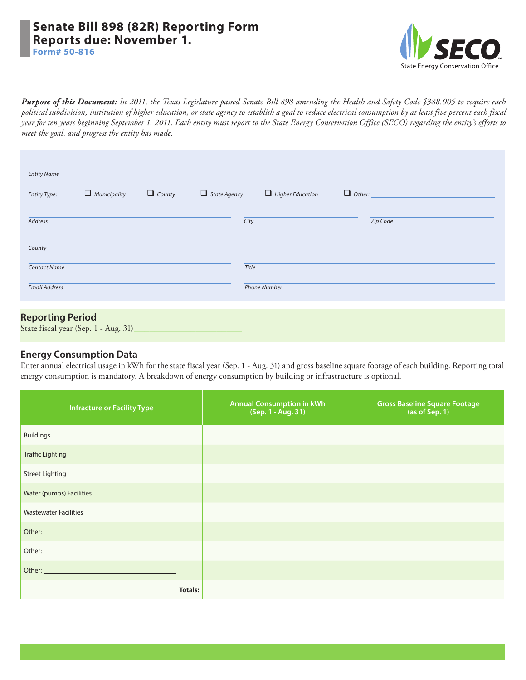## **Senate Bill 898 (82R) Reporting Form Reports due: November 1. Form# 50-816**



*Purpose of this Document: In 2011, the Texas Legislature passed Senate Bill 898 amending the [Health and Safety Code §388.005](http://www.statutes.legis.state.tx.us/Docs/HS/htm/HS.388.htm) to require each political subdivision, institution of higher education, or state agency to establish a goal to reduce electrical consumption by at least five percent each fiscal year for ten years beginning September 1, 2011. Each entity must report to the State Energy Conservation Office (SECO) regarding the entity's efforts to meet the goal, and progress the entity has made.*

| <b>Entity Name</b>   |                     |               |                     |                         |               |          |  |
|----------------------|---------------------|---------------|---------------------|-------------------------|---------------|----------|--|
| Entity Type:         | $\Box$ Municipality | $\Box$ County | $\Box$ State Agency | $\Box$ Higher Education | $\Box$ Other: |          |  |
| Address              |                     |               | City                |                         |               | Zip Code |  |
| County               |                     |               |                     |                         |               |          |  |
| <b>Contact Name</b>  |                     |               | Title               |                         |               |          |  |
| <b>Email Address</b> |                     |               |                     | <b>Phone Number</b>     |               |          |  |
|                      |                     |               |                     |                         |               |          |  |

# State fiscal year (Sep. 1 - Aug. 31)

### **Energy Consumption Data**

Enter annual electrical usage in kWh for the state fiscal year (Sep. 1 - Aug. 31) and gross baseline square footage of each building. Reporting total energy consumption is mandatory. A breakdown of energy consumption by building or infrastructure is optional.

| <b>Infracture or Facility Type</b> | <b>Annual Consumption in kWh</b><br>(Sep. 1 - Aug. 31) | <b>Gross Baseline Square Footage</b><br>(as of Sep. 1) |
|------------------------------------|--------------------------------------------------------|--------------------------------------------------------|
| <b>Buildings</b>                   |                                                        |                                                        |
| <b>Traffic Lighting</b>            |                                                        |                                                        |
| <b>Street Lighting</b>             |                                                        |                                                        |
| Water (pumps) Facilities           |                                                        |                                                        |
| <b>Wastewater Facilities</b>       |                                                        |                                                        |
|                                    |                                                        |                                                        |
|                                    |                                                        |                                                        |
|                                    |                                                        |                                                        |
| <b>Totals:</b>                     |                                                        |                                                        |